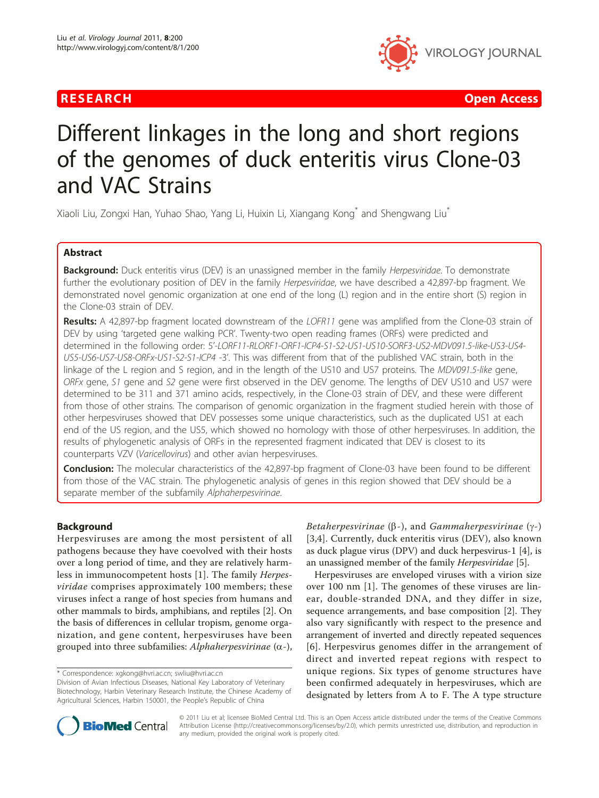

**RESEARCH Open Access Contract Contract Contract Contract Contract Contract Contract Contract Contract Contract Contract Contract Contract Contract Contract Contract Contract Contract Contract Contract Contract Contract** 

# Different linkages in the long and short regions of the genomes of duck enteritis virus Clone-03 and VAC Strains

Xiaoli Liu, Zongxi Han, Yuhao Shao, Yang Li, Huixin Li, Xiangang Kong\* and Shengwang Liu\*

# Abstract

Background: Duck enteritis virus (DEV) is an unassigned member in the family Herpesviridae. To demonstrate further the evolutionary position of DEV in the family Herpesviridae, we have described a 42,897-bp fragment. We demonstrated novel genomic organization at one end of the long (L) region and in the entire short (S) region in the Clone-03 strain of DEV.

Results: A 42,897-bp fragment located downstream of the LOFR11 gene was amplified from the Clone-03 strain of DEV by using 'targeted gene walking PCR'. Twenty-two open reading frames (ORFs) were predicted and determined in the following order: 5'-LORF11-RLORF1-ORF1-ICP4-S1-S2-US1-US10-SORF3-US2-MDV091.5-like-US3-US4- US5-US6-US7-US8-ORFx-US1-S2-S1-ICP4 -3'. This was different from that of the published VAC strain, both in the linkage of the L region and S region, and in the length of the US10 and US7 proteins. The MDV091.5-like gene, ORFx gene, S1 gene and S2 gene were first observed in the DEV genome. The lengths of DEV US10 and US7 were determined to be 311 and 371 amino acids, respectively, in the Clone-03 strain of DEV, and these were different from those of other strains. The comparison of genomic organization in the fragment studied herein with those of other herpesviruses showed that DEV possesses some unique characteristics, such as the duplicated US1 at each end of the US region, and the US5, which showed no homology with those of other herpesviruses. In addition, the results of phylogenetic analysis of ORFs in the represented fragment indicated that DEV is closest to its counterparts VZV (Varicellovirus) and other avian herpesviruses.

Conclusion: The molecular characteristics of the 42,897-bp fragment of Clone-03 have been found to be different from those of the VAC strain. The phylogenetic analysis of genes in this region showed that DEV should be a separate member of the subfamily Alphaherpesvirinae.

#### Background

Herpesviruses are among the most persistent of all pathogens because they have coevolved with their hosts over a long period of time, and they are relatively harmless in immunocompetent hosts [[1\]](#page-10-0). The family Herpesviridae comprises approximately 100 members; these viruses infect a range of host species from humans and other mammals to birds, amphibians, and reptiles [[2](#page-10-0)]. On the basis of differences in cellular tropism, genome organization, and gene content, herpesviruses have been grouped into three subfamilies: Alphaherpesvirinae  $(\alpha)$ ,

Betaherpesvirinae  $(\beta -)$ , and Gammaherpesvirinae  $(\gamma -)$ [[3,4](#page-10-0)]. Currently, duck enteritis virus (DEV), also known as duck plague virus (DPV) and duck herpesvirus-1 [\[4](#page-10-0)], is an unassigned member of the family Herpesviridae [\[5](#page-10-0)].

Herpesviruses are enveloped viruses with a virion size over 100 nm [\[1](#page-10-0)]. The genomes of these viruses are linear, double-stranded DNA, and they differ in size, sequence arrangements, and base composition [\[2](#page-10-0)]. They also vary significantly with respect to the presence and arrangement of inverted and directly repeated sequences [[6](#page-10-0)]. Herpesvirus genomes differ in the arrangement of direct and inverted repeat regions with respect to unique regions. Six types of genome structures have been confirmed adequately in herpesviruses, which are designated by letters from A to F. The A type structure



© 2011 Liu et al; licensee BioMed Central Ltd. This is an Open Access article distributed under the terms of the Creative Commons Attribution License [\(http://creativecommons.org/licenses/by/2.0](http://creativecommons.org/licenses/by/2.0)), which permits unrestricted use, distribution, and reproduction in any medium, provided the original work is properly cited.

<sup>\*</sup> Correspondence: [xgkong@hvri.ac.cn](mailto:xgkong@hvri.ac.cn); [swliu@hvri.ac.cn](mailto:swliu@hvri.ac.cn)

Division of Avian Infectious Diseases, National Key Laboratory of Veterinary Biotechnology, Harbin Veterinary Research Institute, the Chinese Academy of Agricultural Sciences, Harbin 150001, the People's Republic of China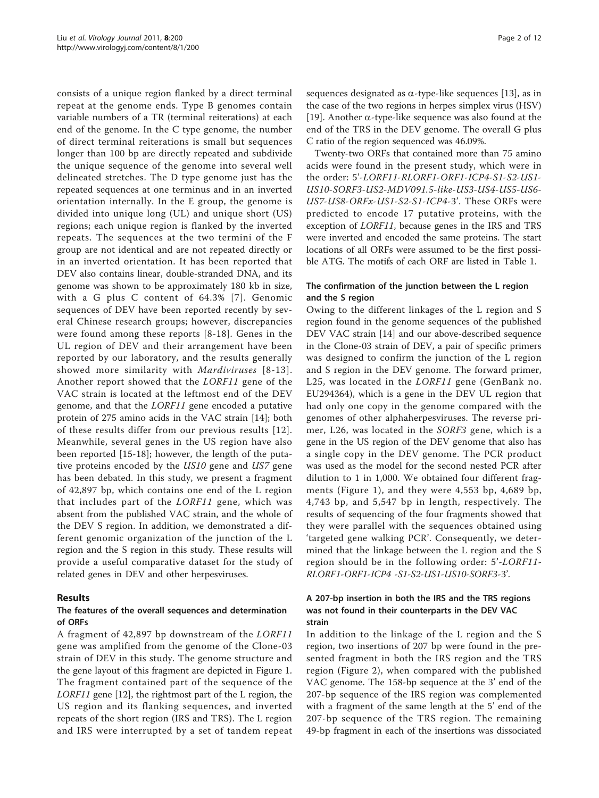consists of a unique region flanked by a direct terminal repeat at the genome ends. Type B genomes contain variable numbers of a TR (terminal reiterations) at each end of the genome. In the C type genome, the number of direct terminal reiterations is small but sequences longer than 100 bp are directly repeated and subdivide the unique sequence of the genome into several well delineated stretches. The D type genome just has the repeated sequences at one terminus and in an inverted orientation internally. In the E group, the genome is divided into unique long (UL) and unique short (US) regions; each unique region is flanked by the inverted repeats. The sequences at the two termini of the F group are not identical and are not repeated directly or in an inverted orientation. It has been reported that DEV also contains linear, double-stranded DNA, and its genome was shown to be approximately 180 kb in size, with a G plus C content of 64.3% [[7\]](#page-11-0). Genomic sequences of DEV have been reported recently by several Chinese research groups; however, discrepancies were found among these reports [[8](#page-11-0)-[18](#page-11-0)]. Genes in the UL region of DEV and their arrangement have been reported by our laboratory, and the results generally showed more similarity with Mardiviruses [[8-13\]](#page-11-0). Another report showed that the LORF11 gene of the VAC strain is located at the leftmost end of the DEV genome, and that the LORF11 gene encoded a putative protein of 275 amino acids in the VAC strain [\[14](#page-11-0)]; both of these results differ from our previous results [[12\]](#page-11-0). Meanwhile, several genes in the US region have also been reported [[15-18](#page-11-0)]; however, the length of the putative proteins encoded by the US10 gene and US7 gene has been debated. In this study, we present a fragment of 42,897 bp, which contains one end of the L region that includes part of the LORF11 gene, which was absent from the published VAC strain, and the whole of the DEV S region. In addition, we demonstrated a different genomic organization of the junction of the L region and the S region in this study. These results will provide a useful comparative dataset for the study of related genes in DEV and other herpesviruses.

# Results

### The features of the overall sequences and determination of ORFs

A fragment of 42,897 bp downstream of the LORF11 gene was amplified from the genome of the Clone-03 strain of DEV in this study. The genome structure and the gene layout of this fragment are depicted in Figure [1](#page-2-0). The fragment contained part of the sequence of the LORF11 gene [\[12](#page-11-0)], the rightmost part of the L region, the US region and its flanking sequences, and inverted repeats of the short region (IRS and TRS). The L region and IRS were interrupted by a set of tandem repeat sequences designated as  $\alpha$ -type-like sequences [[13](#page-11-0)], as in the case of the two regions in herpes simplex virus (HSV) [[19\]](#page-11-0). Another  $\alpha$ -type-like sequence was also found at the end of the TRS in the DEV genome. The overall G plus C ratio of the region sequenced was 46.09%.

Twenty-two ORFs that contained more than 75 amino acids were found in the present study, which were in the order: 5'-LORF11-RLORF1-ORF1-ICP4-S1-S2-US1- US10-SORF3-US2-MDV091.5-like-US3-US4-US5-US6- US7-US8-ORFx-US1-S2-S1-ICP4-3'. These ORFs were predicted to encode 17 putative proteins, with the exception of LORF11, because genes in the IRS and TRS were inverted and encoded the same proteins. The start locations of all ORFs were assumed to be the first possible ATG. The motifs of each ORF are listed in Table [1.](#page-3-0)

#### The confirmation of the junction between the L region and the S region

Owing to the different linkages of the L region and S region found in the genome sequences of the published DEV VAC strain [\[14](#page-11-0)] and our above-described sequence in the Clone-03 strain of DEV, a pair of specific primers was designed to confirm the junction of the L region and S region in the DEV genome. The forward primer, L25, was located in the LORF11 gene (GenBank no. [EU294364\)](http://www.ncbi.nih.gov/entrez/query.fcgi?db=Nucleotide&cmd=search&term=EU294364), which is a gene in the DEV UL region that had only one copy in the genome compared with the genomes of other alphaherpesviruses. The reverse primer, L26, was located in the SORF3 gene, which is a gene in the US region of the DEV genome that also has a single copy in the DEV genome. The PCR product was used as the model for the second nested PCR after dilution to 1 in 1,000. We obtained four different fragments (Figure [1](#page-2-0)), and they were 4,553 bp, 4,689 bp, 4,743 bp, and 5,547 bp in length, respectively. The results of sequencing of the four fragments showed that they were parallel with the sequences obtained using 'targeted gene walking PCR'. Consequently, we determined that the linkage between the L region and the S region should be in the following order: 5'-LORF11- RLORF1-ORF1-ICP4 -S1-S2-US1-US10-SORF3-3'.

## A 207-bp insertion in both the IRS and the TRS regions was not found in their counterparts in the DEV VAC strain

In addition to the linkage of the L region and the S region, two insertions of 207 bp were found in the presented fragment in both the IRS region and the TRS region (Figure [2](#page-3-0)), when compared with the published VAC genome. The 158-bp sequence at the 3' end of the 207-bp sequence of the IRS region was complemented with a fragment of the same length at the 5' end of the 207-bp sequence of the TRS region. The remaining 49-bp fragment in each of the insertions was dissociated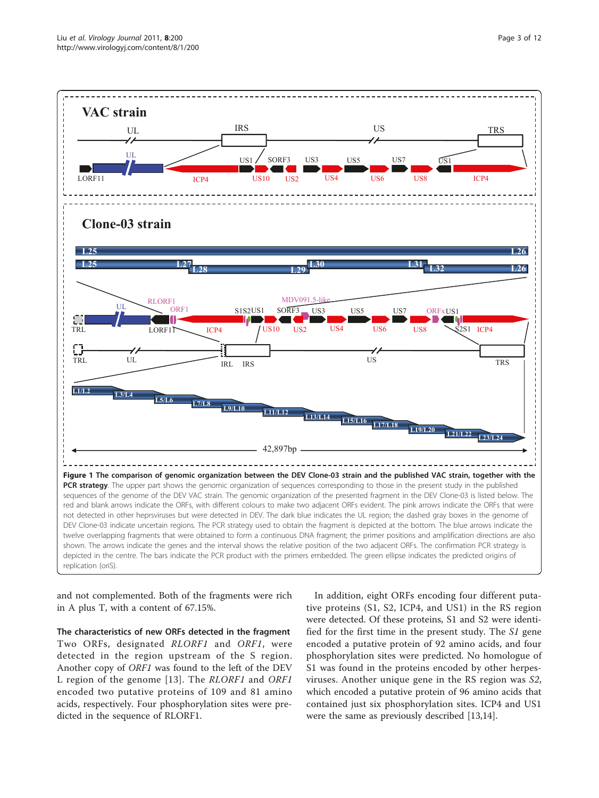<span id="page-2-0"></span>

and not complemented. Both of the fragments were rich in A plus T, with a content of 67.15%.

The characteristics of new ORFs detected in the fragment Two ORFs, designated RLORF1 and ORF1, were detected in the region upstream of the S region. Another copy of ORF1 was found to the left of the DEV L region of the genome [\[13\]](#page-11-0). The RLORF1 and ORF1 encoded two putative proteins of 109 and 81 amino acids, respectively. Four phosphorylation sites were predicted in the sequence of RLORF1.

In addition, eight ORFs encoding four different putative proteins (S1, S2, ICP4, and US1) in the RS region were detected. Of these proteins, S1 and S2 were identified for the first time in the present study. The S1 gene encoded a putative protein of 92 amino acids, and four phosphorylation sites were predicted. No homologue of S1 was found in the proteins encoded by other herpesviruses. Another unique gene in the RS region was S2, which encoded a putative protein of 96 amino acids that contained just six phosphorylation sites. ICP4 and US1 were the same as previously described [\[13,14\]](#page-11-0).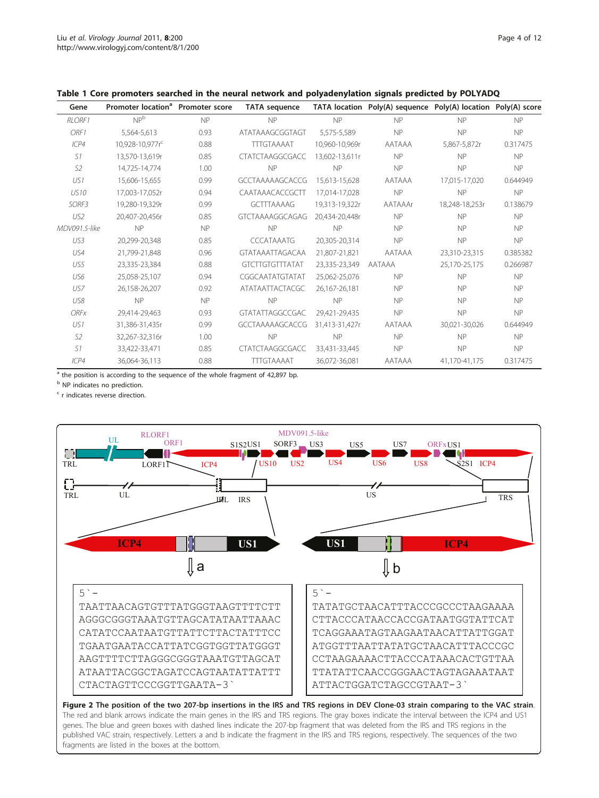| Gene           | Promoter location <sup>a</sup> Promoter score |           | <b>TATA sequence</b>   |                | TATA location Poly(A) sequence Poly(A) location Poly(A) score |                |           |
|----------------|-----------------------------------------------|-----------|------------------------|----------------|---------------------------------------------------------------|----------------|-----------|
| <b>RLORF1</b>  | NP <sup>b</sup>                               | <b>NP</b> | <b>NP</b>              | NP             | <b>NP</b>                                                     | NP             | <b>NP</b> |
| ORF1           | 5.564-5.613                                   | 0.93      | ATATAAAGCGGTAGT        | 5.575-5.589    | NP                                                            | NP             | <b>NP</b> |
| ICP4           | 10,928-10,977r <sup>c</sup>                   | 0.88      | <b>TTTGTAAAAT</b>      | 10.960-10.969r | AATAAA                                                        | 5,867-5,872r   | 0.317475  |
| S1             | 13,570-13,619r                                | 0.85      | <b>CTATCTAAGGCGACC</b> | 13,602-13,611r | <b>NP</b>                                                     | NP             | <b>NP</b> |
| S <sub>2</sub> | 14.725-14.774                                 | 1.00      | <b>NP</b>              | NP             | NP                                                            | NP             | <b>NP</b> |
| US1            | 15,606-15,655                                 | 0.99      | <b>GCCTAAAAAGCACCG</b> | 15.613-15.628  | AATAAA                                                        | 17.015-17.020  | 0.644949  |
| <b>US10</b>    | 17,003-17,052r                                | 0.94      | CAATAAACACCGCTT        | 17.014-17.028  | NP                                                            | NP             | NP        |
| SORF3          | 19,280-19,329r                                | 0.99      | <b>GCTTTAAAAG</b>      | 19,313-19,322r | AATAAAr                                                       | 18,248-18,253r | 0.138679  |
| US2            | 20.407-20.456r                                | 0.85      | <b>GTCTAAAAGGCAGAG</b> | 20.434-20.448r | <b>NP</b>                                                     | <b>NP</b>      | <b>NP</b> |
| MDV091.5-like  | NP                                            | <b>NP</b> | <b>NP</b>              | NP             | <b>NP</b>                                                     | <b>NP</b>      | <b>NP</b> |
| US3            | 20.299-20.348                                 | 0.85      | <b>CCCATAAATG</b>      | 20.305-20.314  | <b>NP</b>                                                     | NP             | NP        |
| US4            | 21,799-21,848                                 | 0.96      | <b>GTATAAATTAGACAA</b> | 21,807-21,821  | AATAAA                                                        | 23,310-23,315  | 0.385382  |
| US5            | 23,335-23,384                                 | 0.88      | <b>GTCTTGTGTTTATAT</b> | 23.335-23.349  | AATAAA                                                        | 25,170-25,175  | 0.266987  |
| US6            | 25,058-25,107                                 | 0.94      | CGGCAATATGTATAT        | 25,062-25,076  | <b>NP</b>                                                     | NP             | <b>NP</b> |
| US7            | 26,158-26,207                                 | 0.92      | <b>ATATAATTACTACGC</b> | 26,167-26,181  | <b>NP</b>                                                     | <b>NP</b>      | <b>NP</b> |
| US8            | <b>NP</b>                                     | <b>NP</b> | NP                     | <b>NP</b>      | <b>NP</b>                                                     | <b>NP</b>      | <b>NP</b> |
| <b>ORFx</b>    | 29,414-29,463                                 | 0.93      | GTATATTAGGCCGAC        | 29,421-29,435  | NP                                                            | <b>NP</b>      | <b>NP</b> |
| US1            | 31,386-31,435r                                | 0.99      | <b>GCCTAAAAAGCACCG</b> | 31.413-31.427r | AATAAA                                                        | 30,021-30,026  | 0.644949  |
| S <sub>2</sub> | 32,267-32,316r                                | 1.00      | NP                     | NP             | NP                                                            | NP             | <b>NP</b> |
| S1             | 33,422-33,471                                 | 0.85      | <b>CTATCTAAGGCGACC</b> | 33.431-33.445  | <b>NP</b>                                                     | NP             | NP        |
| ICP4           | 36.064-36.113                                 | 0.88      | <b>TTTGTAAAAT</b>      | 36,072-36,081  | AATAAA                                                        | 41.170-41.175  | 0.317475  |

#### <span id="page-3-0"></span>Table 1 Core promoters searched in the neural network and polyadenylation signals predicted by POLYADQ

<sup>a</sup> the position is according to the sequence of the whole fragment of 42,897 bp.

**b** NP indicates no prediction.

<sup>c</sup> r indicates reverse direction.

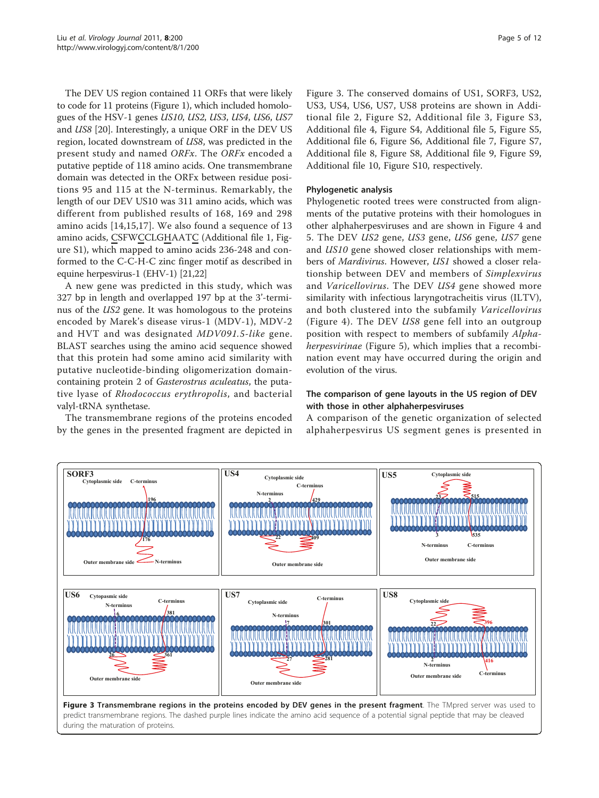The DEV US region contained 11 ORFs that were likely to code for 11 proteins (Figure [1](#page-2-0)), which included homologues of the HSV-1 genes US10, US2, US3, US4, US6, US7 and US8 [\[20](#page-11-0)]. Interestingly, a unique ORF in the DEV US region, located downstream of US8, was predicted in the present study and named ORFx. The ORFx encoded a putative peptide of 118 amino acids. One transmembrane domain was detected in the ORFx between residue positions 95 and 115 at the N-terminus. Remarkably, the length of our DEV US10 was 311 amino acids, which was different from published results of 168, 169 and 298 amino acids [\[14,15](#page-11-0),[17\]](#page-11-0). We also found a sequence of 13 amino acids, CSFWCCLGHAATC (Additional file [1,](#page-10-0) Figure S1), which mapped to amino acids 236-248 and conformed to the C-C-H-C zinc finger motif as described in equine herpesvirus-1 (EHV-1) [[21,22](#page-11-0)]

A new gene was predicted in this study, which was 327 bp in length and overlapped 197 bp at the 3'-terminus of the US2 gene. It was homologous to the proteins encoded by Marek's disease virus-1 (MDV-1), MDV-2 and HVT and was designated MDV091.5-like gene. BLAST searches using the amino acid sequence showed that this protein had some amino acid similarity with putative nucleotide-binding oligomerization domaincontaining protein 2 of Gasterostrus aculeatus, the putative lyase of Rhodococcus erythropolis, and bacterial valyl-tRNA synthetase.

The transmembrane regions of the proteins encoded by the genes in the presented fragment are depicted in Figure 3. The conserved domains of US1, SORF3, US2, US3, US4, US6, US7, US8 proteins are shown in Additional file [2](#page-10-0), Figure S2, Additional file [3](#page-10-0), Figure S3, Additional file [4,](#page-10-0) Figure S4, Additional file [5](#page-10-0), Figure S5, Additional file [6,](#page-10-0) Figure S6, Additional file [7](#page-10-0), Figure S7, Additional file [8,](#page-10-0) Figure S8, Additional file [9](#page-10-0), Figure S9, Additional file [10](#page-10-0), Figure S10, respectively.

#### Phylogenetic analysis

Phylogenetic rooted trees were constructed from alignments of the putative proteins with their homologues in other alphaherpesviruses and are shown in Figure [4](#page-5-0) and [5.](#page-6-0) The DEV US2 gene, US3 gene, US6 gene, US7 gene and US10 gene showed closer relationships with members of Mardivirus. However, US1 showed a closer relationship between DEV and members of Simplexvirus and Varicellovirus. The DEV US4 gene showed more similarity with infectious laryngotracheitis virus (ILTV), and both clustered into the subfamily Varicellovirus (Figure [4](#page-5-0)). The DEV US8 gene fell into an outgroup position with respect to members of subfamily Alpha-herpesvirinae (Figure [5\)](#page-6-0), which implies that a recombination event may have occurred during the origin and evolution of the virus.

### The comparison of gene layouts in the US region of DEV with those in other alphaherpesviruses

A comparison of the genetic organization of selected alphaherpesvirus US segment genes is presented in

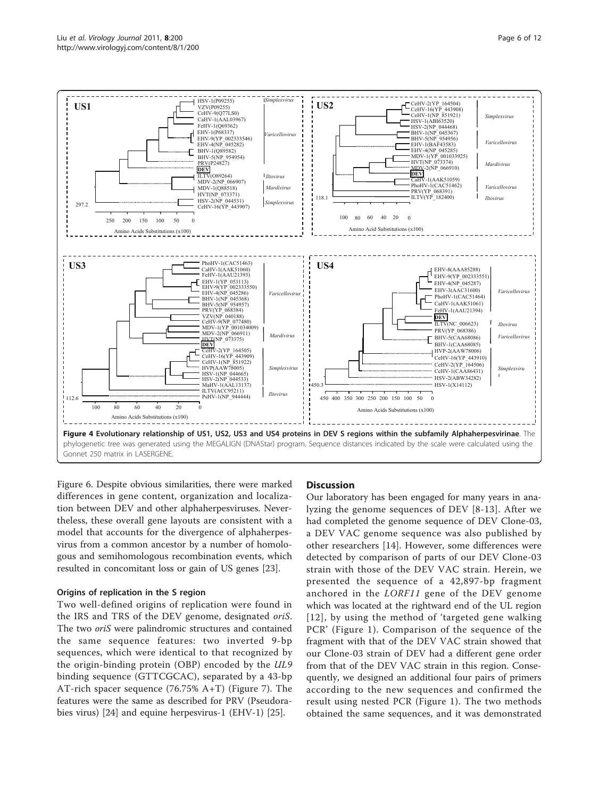<span id="page-5-0"></span>

Figure [6](#page-7-0). Despite obvious similarities, there were marked differences in gene content, organization and localization between DEV and other alphaherpesviruses. Nevertheless, these overall gene layouts are consistent with a model that accounts for the divergence of alphaherpesvirus from a common ancestor by a number of homologous and semihomologous recombination events, which resulted in concomitant loss or gain of US genes [[23\]](#page-11-0).

#### Origins of replication in the S region

Two well-defined origins of replication were found in the IRS and TRS of the DEV genome, designated oriS. The two oriS were palindromic structures and contained the same sequence features: two inverted 9-bp sequences, which were identical to that recognized by the origin-binding protein (OBP) encoded by the UL9 binding sequence (GTTCGCAC), separated by a 43-bp AT-rich spacer sequence (76.75% A+T) (Figure [7](#page-8-0)). The features were the same as described for PRV (Pseudorabies virus) [[24\]](#page-11-0) and equine herpesvirus-1 (EHV-1) [[25](#page-11-0)].

#### **Discussion**

Our laboratory has been engaged for many years in analyzing the genome sequences of DEV [[8](#page-11-0)-[13](#page-11-0)]. After we had completed the genome sequence of DEV Clone-03, a DEV VAC genome sequence was also published by other researchers [[14\]](#page-11-0). However, some differences were detected by comparison of parts of our DEV Clone-03 strain with those of the DEV VAC strain. Herein, we presented the sequence of a 42,897-bp fragment anchored in the LORF11 gene of the DEV genome which was located at the rightward end of the UL region [[12\]](#page-11-0), by using the method of 'targeted gene walking PCR' (Figure [1\)](#page-2-0). Comparison of the sequence of the fragment with that of the DEV VAC strain showed that our Clone-03 strain of DEV had a different gene order from that of the DEV VAC strain in this region. Consequently, we designed an additional four pairs of primers according to the new sequences and confirmed the result using nested PCR (Figure [1\)](#page-2-0). The two methods obtained the same sequences, and it was demonstrated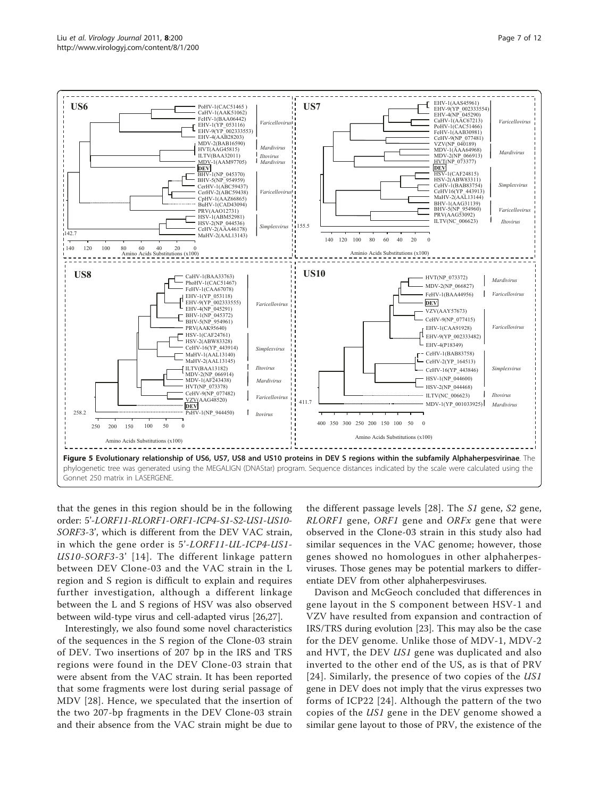<span id="page-6-0"></span>

that the genes in this region should be in the following order: 5'-LORF11-RLORF1-ORF1-ICP4-S1-S2-US1-US10- SORF3-3', which is different from the DEV VAC strain, in which the gene order is 5'-LORF11-UL-ICP4-US1- US10-SORF3-3' [\[14](#page-11-0)]. The different linkage pattern between DEV Clone-03 and the VAC strain in the L region and S region is difficult to explain and requires further investigation, although a different linkage between the L and S regions of HSV was also observed between wild-type virus and cell-adapted virus [\[26,27\]](#page-11-0).

Interestingly, we also found some novel characteristics of the sequences in the S region of the Clone-03 strain of DEV. Two insertions of 207 bp in the IRS and TRS regions were found in the DEV Clone-03 strain that were absent from the VAC strain. It has been reported that some fragments were lost during serial passage of MDV [[28](#page-11-0)]. Hence, we speculated that the insertion of the two 207-bp fragments in the DEV Clone-03 strain and their absence from the VAC strain might be due to the different passage levels [[28\]](#page-11-0). The S1 gene, S2 gene,  $\mathit{RLORF1}$  gene, ORF1 gene and ORFx gene that were observed in the Clone-03 strain in this study also had similar sequences in the VAC genome; however, those genes showed no homologues in other alphaherpesviruses. Those genes may be potential markers to differentiate DEV from other alphaherpesviruses.

Davison and McGeoch concluded that differences in gene layout in the S component between HSV-1 and VZV have resulted from expansion and contraction of IRS/TRS during evolution [[23](#page-11-0)]. This may also be the case for the DEV genome. Unlike those of MDV-1, MDV-2 and HVT, the DEV US1 gene was duplicated and also inverted to the other end of the US, as is that of PRV [[24\]](#page-11-0). Similarly, the presence of two copies of the *US1* gene in DEV does not imply that the virus expresses two forms of ICP22 [\[24\]](#page-11-0). Although the pattern of the two copies of the US1 gene in the DEV genome showed a similar gene layout to those of PRV, the existence of the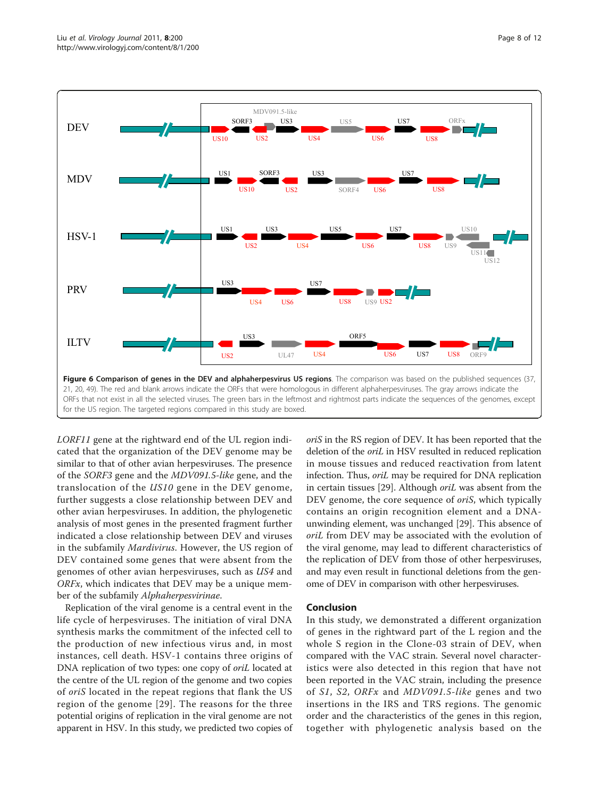<span id="page-7-0"></span>

LORF11 gene at the rightward end of the UL region indicated that the organization of the DEV genome may be similar to that of other avian herpesviruses. The presence of the SORF3 gene and the MDV091.5-like gene, and the translocation of the US10 gene in the DEV genome, further suggests a close relationship between DEV and other avian herpesviruses. In addition, the phylogenetic analysis of most genes in the presented fragment further indicated a close relationship between DEV and viruses in the subfamily Mardivirus. However, the US region of DEV contained some genes that were absent from the genomes of other avian herpesviruses, such as US4 and  $ORFx$ , which indicates that DEV may be a unique member of the subfamily Alphaherpesvirinae.

Replication of the viral genome is a central event in the life cycle of herpesviruses. The initiation of viral DNA synthesis marks the commitment of the infected cell to the production of new infectious virus and, in most instances, cell death. HSV-1 contains three origins of DNA replication of two types: one copy of oriL located at the centre of the UL region of the genome and two copies of oriS located in the repeat regions that flank the US region of the genome [[29\]](#page-11-0). The reasons for the three potential origins of replication in the viral genome are not apparent in HSV. In this study, we predicted two copies of oriS in the RS region of DEV. It has been reported that the deletion of the oriL in HSV resulted in reduced replication in mouse tissues and reduced reactivation from latent infection. Thus, oriL may be required for DNA replication in certain tissues [[29](#page-11-0)]. Although oriL was absent from the DEV genome, the core sequence of *oriS*, which typically contains an origin recognition element and a DNAunwinding element, was unchanged [[29\]](#page-11-0). This absence of oriL from DEV may be associated with the evolution of the viral genome, may lead to different characteristics of the replication of DEV from those of other herpesviruses, and may even result in functional deletions from the genome of DEV in comparison with other herpesviruses.

#### Conclusion

In this study, we demonstrated a different organization of genes in the rightward part of the L region and the whole S region in the Clone-03 strain of DEV, when compared with the VAC strain. Several novel characteristics were also detected in this region that have not been reported in the VAC strain, including the presence of S1, S2, ORFx and MDV091.5-like genes and two insertions in the IRS and TRS regions. The genomic order and the characteristics of the genes in this region, together with phylogenetic analysis based on the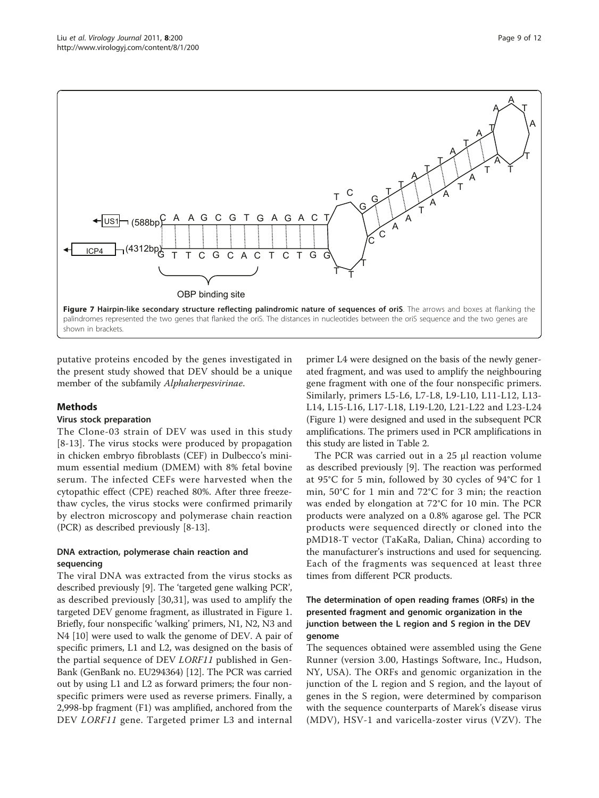<span id="page-8-0"></span>

putative proteins encoded by the genes investigated in the present study showed that DEV should be a unique member of the subfamily Alphaherpesvirinae.

#### Methods

#### Virus stock preparation

The Clone-03 strain of DEV was used in this study [[8](#page-11-0)-[13\]](#page-11-0). The virus stocks were produced by propagation in chicken embryo fibroblasts (CEF) in Dulbecco's minimum essential medium (DMEM) with 8% fetal bovine serum. The infected CEFs were harvested when the cytopathic effect (CPE) reached 80%. After three freezethaw cycles, the virus stocks were confirmed primarily by electron microscopy and polymerase chain reaction (PCR) as described previously [\[8](#page-11-0)-[13](#page-11-0)].

#### DNA extraction, polymerase chain reaction and sequencing

The viral DNA was extracted from the virus stocks as described previously [\[9](#page-11-0)]. The 'targeted gene walking PCR', as described previously [\[30](#page-11-0),[31\]](#page-11-0), was used to amplify the targeted DEV genome fragment, as illustrated in Figure [1](#page-2-0). Briefly, four nonspecific 'walking' primers, N1, N2, N3 and N4 [\[10\]](#page-11-0) were used to walk the genome of DEV. A pair of specific primers, L1 and L2, was designed on the basis of the partial sequence of DEV LORF11 published in Gen-Bank (GenBank no. [EU294364](http://www.ncbi.nih.gov/entrez/query.fcgi?db=Nucleotide&cmd=search&term=EU294364)) [\[12\]](#page-11-0). The PCR was carried out by using L1 and L2 as forward primers; the four nonspecific primers were used as reverse primers. Finally, a 2,998-bp fragment (F1) was amplified, anchored from the DEV *LORF11* gene. Targeted primer L3 and internal

primer L4 were designed on the basis of the newly generated fragment, and was used to amplify the neighbouring gene fragment with one of the four nonspecific primers. Similarly, primers L5-L6, L7-L8, L9-L10, L11-L12, L13- L14, L15-L16, L17-L18, L19-L20, L21-L22 and L23-L24 (Figure [1](#page-2-0)) were designed and used in the subsequent PCR amplifications. The primers used in PCR amplifications in this study are listed in Table [2.](#page-9-0)

The PCR was carried out in a 25 μl reaction volume as described previously [\[9\]](#page-11-0). The reaction was performed at 95°C for 5 min, followed by 30 cycles of 94°C for 1 min, 50°C for 1 min and 72°C for 3 min; the reaction was ended by elongation at 72°C for 10 min. The PCR products were analyzed on a 0.8% agarose gel. The PCR products were sequenced directly or cloned into the pMD18-T vector (TaKaRa, Dalian, China) according to the manufacturer's instructions and used for sequencing. Each of the fragments was sequenced at least three times from different PCR products.

# The determination of open reading frames (ORFs) in the presented fragment and genomic organization in the junction between the L region and S region in the DEV genome

The sequences obtained were assembled using the Gene Runner (version 3.00, Hastings Software, Inc., Hudson, NY, USA). The ORFs and genomic organization in the junction of the L region and S region, and the layout of genes in the S region, were determined by comparison with the sequence counterparts of Marek's disease virus (MDV), HSV-1 and varicella-zoster virus (VZV). The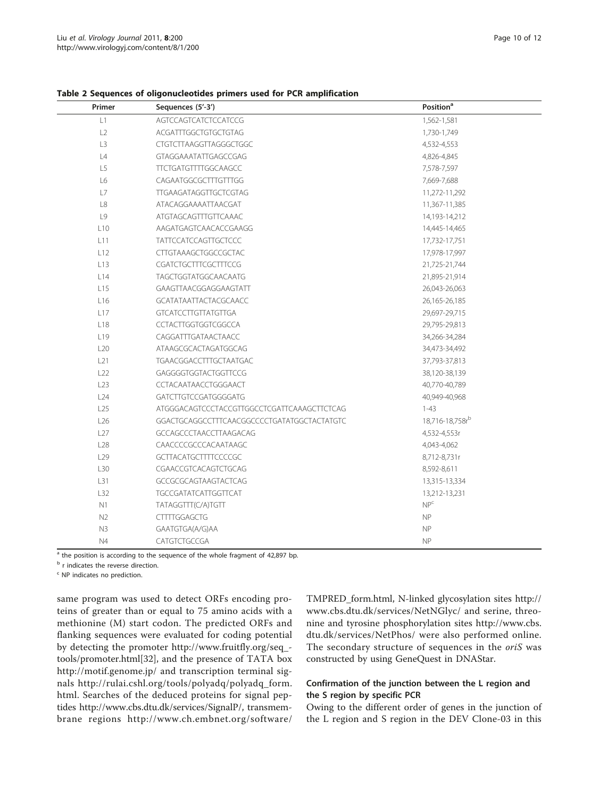| Primer          | Sequences (5'-3')                           | Position <sup>a</sup> |  |
|-----------------|---------------------------------------------|-----------------------|--|
| L1              | AGTCCAGTCATCTCCATCCG                        | 1,562-1,581           |  |
| L2              | ACGATTTGGCTGTGCTGTAG                        | 1,730-1,749           |  |
| L3              | CTGTCTTAAGGTTAGGGCTGGC                      | 4,532-4,553           |  |
| L4              | GTAGGAAATATTGAGCCGAG                        | 4,826-4,845           |  |
| L5              | <b>TTCTGATGTTTTGGCAAGCC</b>                 | 7,578-7,597           |  |
| L6              | CAGAATGGCGCTTTGTTTGG                        | 7,669-7,688           |  |
| $\mathsf{L}7$   | TTGAAGATAGGTTGCTCGTAG                       | 11,272-11,292         |  |
| L8              | ATACAGGAAAATTAACGAT                         | 11,367-11,385         |  |
| L9              | ATGTAGCAGTTTGTTCAAAC                        | 14,193-14,212         |  |
| L10             | AAGATGAGTCAACACCGAAGG                       | 14,445-14,465         |  |
| L11             | <b>TATTCCATCCAGTTGCTCCC</b>                 | 17,732-17,751         |  |
| L12             | <b>CTTGTAAAGCTGGCCGCTAC</b>                 | 17,978-17,997         |  |
| L13             | <b>CGATCTGCTTTCGCTTTCCG</b>                 | 21,725-21,744         |  |
| L14             | TAGCTGGTATGGCAACAATG                        | 21,895-21,914         |  |
| L15             | GAAGTTAACGGAGGAAGTATT                       | 26,043-26,063         |  |
| L16             | <b>GCATATAATTACTACGCAACC</b>                | 26,165-26,185         |  |
| L17             | <b>GTCATCCTTGTTATGTTGA</b>                  | 29,697-29,715         |  |
| L18             | CCTACTTGGTGGTCGGCCA                         | 29,795-29,813         |  |
| L <sub>19</sub> | CAGGATTTGATAACTAACC                         | 34,266-34,284         |  |
| L20             | ATAAGCGCACTAGATGGCAG                        | 34,473-34,492         |  |
| L21             | TGAACGGACCTTTGCTAATGAC                      | 37,793-37,813         |  |
| L22             | GAGGGGTGGTACTGGTTCCG                        | 38,120-38,139         |  |
| L23             | CCTACAATAACCTGGGAACT                        | 40,770-40,789         |  |
| L24             | GATCTTGTCCGATGGGGATG                        | 40,949-40,968         |  |
| L25             | ATGGGACAGTCCCTACCGTTGGCCTCGATTCAAAGCTTCTCAG | $1 - 43$              |  |
| L26             | GGACTGCAGGCCTTTCAACGGCCCCTGATATGGCTACTATGTC | 18,716-18,758rb       |  |
| L27             | <b>GCCAGCCCTAACCTTAAGACAG</b>               | 4,532-4,553r          |  |
| L28             | CAACCCCGCCCACAATAAGC                        | 4,043-4,062           |  |
| L <sub>29</sub> | <b>GCTTACATGCTTTTCCCCGC</b>                 | 8,712-8,731r          |  |
| L30             | CGAACCGTCACAGTCTGCAG                        | 8,592-8,611           |  |
| L31             | GCCGCGCAGTAAGTACTCAG                        | 13,315-13,334         |  |
| L32             | <b>TGCCGATATCATTGGTTCAT</b>                 | 13,212-13,231         |  |
| N1              | TATAGGTTT(C/A)TGTT                          | NP <sup>c</sup>       |  |
| N2              | <b>CTTTTGGAGCTG</b>                         | NP                    |  |
| N3              | GAATGTGA(A/G)AA                             | <b>NP</b>             |  |
| N <sub>4</sub>  | CATGTCTGCCGA                                | <b>NP</b>             |  |

<span id="page-9-0"></span>Table 2 Sequences of oligonucleotides primers used for PCR amplification

 $\frac{1}{a}$  the position is according to the sequence of the whole fragment of 42,897 bp.

**b** r indicates the reverse direction.

<sup>c</sup> NP indicates no prediction.

same program was used to detect ORFs encoding proteins of greater than or equal to 75 amino acids with a methionine (M) start codon. The predicted ORFs and flanking sequences were evaluated for coding potential by detecting the promoter [http://www.fruitfly.org/seq\\_](http://www.fruitfly.org/seq_tools/promoter.html) [tools/promoter.html\[](http://www.fruitfly.org/seq_tools/promoter.html)[32](#page-11-0)], and the presence of TATA box <http://motif.genome.jp/> and transcription terminal signals [http://rulai.cshl.org/tools/polyadq/polyadq\\_form.](http://rulai.cshl.org/tools/polyadq/polyadq_form.html) [html.](http://rulai.cshl.org/tools/polyadq/polyadq_form.html) Searches of the deduced proteins for signal peptides [http://www.cbs.dtu.dk/services/SignalP/,](http://www.cbs.dtu.dk/services/SignalP/) transmembrane regions [http://www.ch.embnet.org/software/](http://www.ch.embnet.org/software/TMPRED_form.html) [TMPRED\\_form.html,](http://www.ch.embnet.org/software/TMPRED_form.html) N-linked glycosylation sites [http://](http://www.cbs.dtu.dk/services/NetNGlyc/) [www.cbs.dtu.dk/services/NetNGlyc/](http://www.cbs.dtu.dk/services/NetNGlyc/) and serine, threonine and tyrosine phosphorylation sites [http://www.cbs.](http://www.cbs.dtu.dk/services/NetPhos/) [dtu.dk/services/NetPhos/](http://www.cbs.dtu.dk/services/NetPhos/) were also performed online. The secondary structure of sequences in the oriS was constructed by using GeneQuest in DNAStar.

# Confirmation of the junction between the L region and the S region by specific PCR

Owing to the different order of genes in the junction of the L region and S region in the DEV Clone-03 in this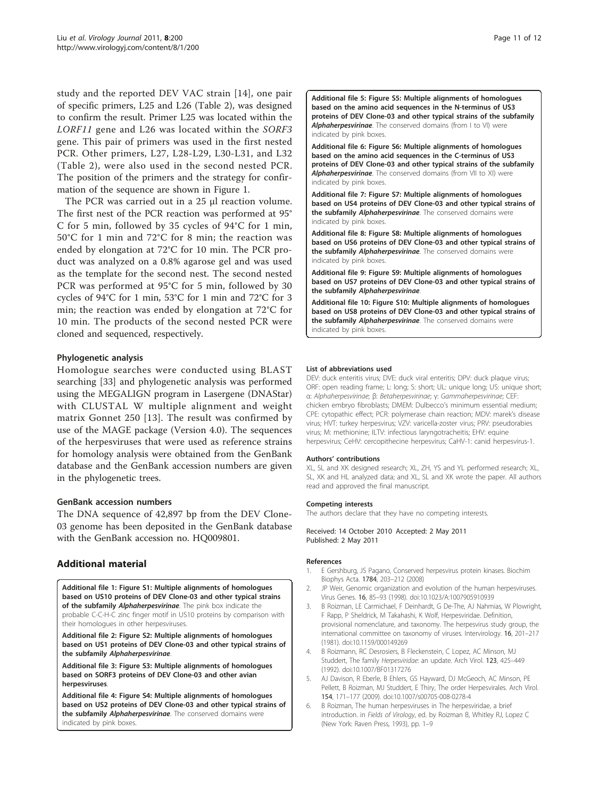<span id="page-10-0"></span>study and the reported DEV VAC strain [\[14](#page-11-0)], one pair of specific primers, L25 and L26 (Table [2](#page-9-0)), was designed to confirm the result. Primer L25 was located within the LORF11 gene and L26 was located within the SORF3 gene. This pair of primers was used in the first nested PCR. Other primers, L27, L28-L29, L30-L31, and L32 (Table [2\)](#page-9-0), were also used in the second nested PCR. The position of the primers and the strategy for confirmation of the sequence are shown in Figure [1](#page-2-0).

The PCR was carried out in a 25 μl reaction volume. The first nest of the PCR reaction was performed at 95° C for 5 min, followed by 35 cycles of 94°C for 1 min, 50°C for 1 min and 72°C for 8 min; the reaction was ended by elongation at 72°C for 10 min. The PCR product was analyzed on a 0.8% agarose gel and was used as the template for the second nest. The second nested PCR was performed at 95°C for 5 min, followed by 30 cycles of 94°C for 1 min, 53°C for 1 min and 72°C for 3 min; the reaction was ended by elongation at 72°C for 10 min. The products of the second nested PCR were cloned and sequenced, respectively.

#### Phylogenetic analysis

Homologue searches were conducted using BLAST searching [[33](#page-11-0)] and phylogenetic analysis was performed using the MEGALIGN program in Lasergene (DNAStar) with CLUSTAL W multiple alignment and weight matrix Gonnet 250 [\[13\]](#page-11-0). The result was confirmed by use of the MAGE package (Version 4.0). The sequences of the herpesviruses that were used as reference strains for homology analysis were obtained from the GenBank database and the GenBank accession numbers are given in the phylogenetic trees.

#### GenBank accession numbers

The DNA sequence of 42,897 bp from the DEV Clone-03 genome has been deposited in the GenBank database with the GenBank accession no. [HQ009801](http://www.ncbi.nih.gov/entrez/query.fcgi?db=Nucleotide&cmd=search&term=HQ009801).

# Additional material

[Additional file 1: F](http://www.biomedcentral.com/content/supplementary/1743-422X-8-200-S1.PPT)igure S1: Multiple alignments of homologues based on US10 proteins of DEV Clone-03 and other typical strains of the subfamily Alphaherpesvirinae. The pink box indicate the probable C-C-H-C zinc finger motif in US10 proteins by comparison with their homologues in other herpesviruses.

[Additional file 2: F](http://www.biomedcentral.com/content/supplementary/1743-422X-8-200-S2.PPT)igure S2: Multiple alignments of homologues based on US1 proteins of DEV Clone-03 and other typical strains of the subfamily Alphaherpesvirinae

[Additional file 3: F](http://www.biomedcentral.com/content/supplementary/1743-422X-8-200-S3.PPT)igure S3: Multiple alignments of homologues based on SORF3 proteins of DEV Clone-03 and other avian herpesviruses.

[Additional file 4: F](http://www.biomedcentral.com/content/supplementary/1743-422X-8-200-S4.PPT)igure S4: Multiple alignments of homologues based on US2 proteins of DEV Clone-03 and other typical strains of the subfamily Alphaherpesvirinae. The conserved domains were indicated by pink boxes.

[Additional file 5: F](http://www.biomedcentral.com/content/supplementary/1743-422X-8-200-S5.PPT)igure S5: Multiple alignments of homologues based on the amino acid sequences in the N-terminus of US3 proteins of DEV Clone-03 and other typical strains of the subfamily Alphaherpesvirinae. The conserved domains (from I to VI) were indicated by pink boxes.

[Additional file 6: F](http://www.biomedcentral.com/content/supplementary/1743-422X-8-200-S6.PPT)igure S6: Multiple alignments of homologues based on the amino acid sequences in the C-terminus of US3 proteins of DEV Clone-03 and other typical strains of the subfamily Alphaherpesvirinae. The conserved domains (from VII to XI) were indicated by pink boxes.

[Additional file 7: F](http://www.biomedcentral.com/content/supplementary/1743-422X-8-200-S7.PPT)igure S7: Multiple alignments of homologues based on US4 proteins of DEV Clone-03 and other typical strains of the subfamily Alphaherpesvirinae. The conserved domains were indicated by pink boxes.

[Additional file 8: F](http://www.biomedcentral.com/content/supplementary/1743-422X-8-200-S8.PPT)igure S8: Multiple alignments of homologues based on US6 proteins of DEV Clone-03 and other typical strains of the subfamily Alphaherpesvirinae. The conserved domains were indicated by pink boxes.

[Additional file 9: F](http://www.biomedcentral.com/content/supplementary/1743-422X-8-200-S9.PPT)igure S9: Multiple alignments of homologues based on US7 proteins of DEV Clone-03 and other typical strains of the subfamily Alphaherpesvirinae.

[Additional file 10: F](http://www.biomedcentral.com/content/supplementary/1743-422X-8-200-S10.PPT)igure S10: Multiple alignments of homologues based on US8 proteins of DEV Clone-03 and other typical strains of the subfamily Alphaherpesvirinae. The conserved domains were indicated by pink boxes.

#### List of abbreviations used

DEV: duck enteritis virus; DVE: duck viral enteritis; DPV: duck plaque virus; ORF: open reading frame; L: long; S: short; UL: unique long; US: unique short; α: Alphaherpesvirinae; β: Betaherpesvirinae; γ: Gammaherpesvirinae; CEF: chicken embryo fibroblasts; DMEM: Dulbecco's minimum essential medium; CPE: cytopathic effect; PCR: polymerase chain reaction; MDV: marek's disease virus; HVT: turkey herpesvirus; VZV: varicella-zoster virus; PRV: pseudorabies virus; M: methionine; ILTV: infectious laryngotracheitis; EHV: equine herpesvirus; CeHV: cercopithecine herpesvirus; CaHV-1: canid herpesvirus-1.

#### Authors' contributions

XL, SL and XK designed research; XL, ZH, YS and YL performed research; XL, SL, XK and HL analyzed data; and XL, SL and XK wrote the paper. All authors read and approved the final manuscript.

#### Competing interests

The authors declare that they have no competing interests.

Received: 14 October 2010 Accepted: 2 May 2011 Published: 2 May 2011

#### References

- 1. E Gershburg, JS Pagano, [Conserved herpesvirus protein kinases.](http://www.ncbi.nlm.nih.gov/pubmed/17881303?dopt=Abstract) Biochim Biophys Acta. 1784, 203–212 (2008)
- 2. JP Weir, [Genomic organization and evolution of the human herpesviruses.](http://www.ncbi.nlm.nih.gov/pubmed/9562893?dopt=Abstract) Virus Genes. 16, 85–93 (1998). doi:10.1023/A:1007905910939
- 3. B Roizman, LE Carmichael, F Deinhardt, G De-The, AJ Nahmias, W Plowright, F Rapp, P Sheldrick, M Takahashi, K Wolf, [Herpesviridae. Definition,](http://www.ncbi.nlm.nih.gov/pubmed/7343541?dopt=Abstract) [provisional nomenclature, and taxonomy. The herpesvirus study group, the](http://www.ncbi.nlm.nih.gov/pubmed/7343541?dopt=Abstract) [international committee on taxonomy of viruses.](http://www.ncbi.nlm.nih.gov/pubmed/7343541?dopt=Abstract) Intervirology. 16, 201–217 (1981). doi:10.1159/000149269
- 4. B Roizmann, RC Desrosiers, B Fleckenstein, C Lopez, AC Minson, MJ Studdert, The family [Herpesviridae](http://www.ncbi.nlm.nih.gov/pubmed/1562239?dopt=Abstract): an update. Arch Virol. 123, 425–449 (1992). doi:10.1007/BF01317276
- 5. AJ Davison, R Eberle, B Ehlers, GS Hayward, DJ McGeoch, AC Minson, PE Pellett, B Roizman, MJ Studdert, E Thiry[, The order Herpesvirales.](http://www.ncbi.nlm.nih.gov/pubmed/19066710?dopt=Abstract) Arch Virol. 154, 171–177 (2009). doi:10.1007/s00705-008-0278-4
- 6. B Roizman, The human herpesviruses in The herpesviridae, a brief introduction. in Fields of Virology, ed. by Roizman B, Whitley RJ, Lopez C (New York: Raven Press, 1993), pp. 1–9